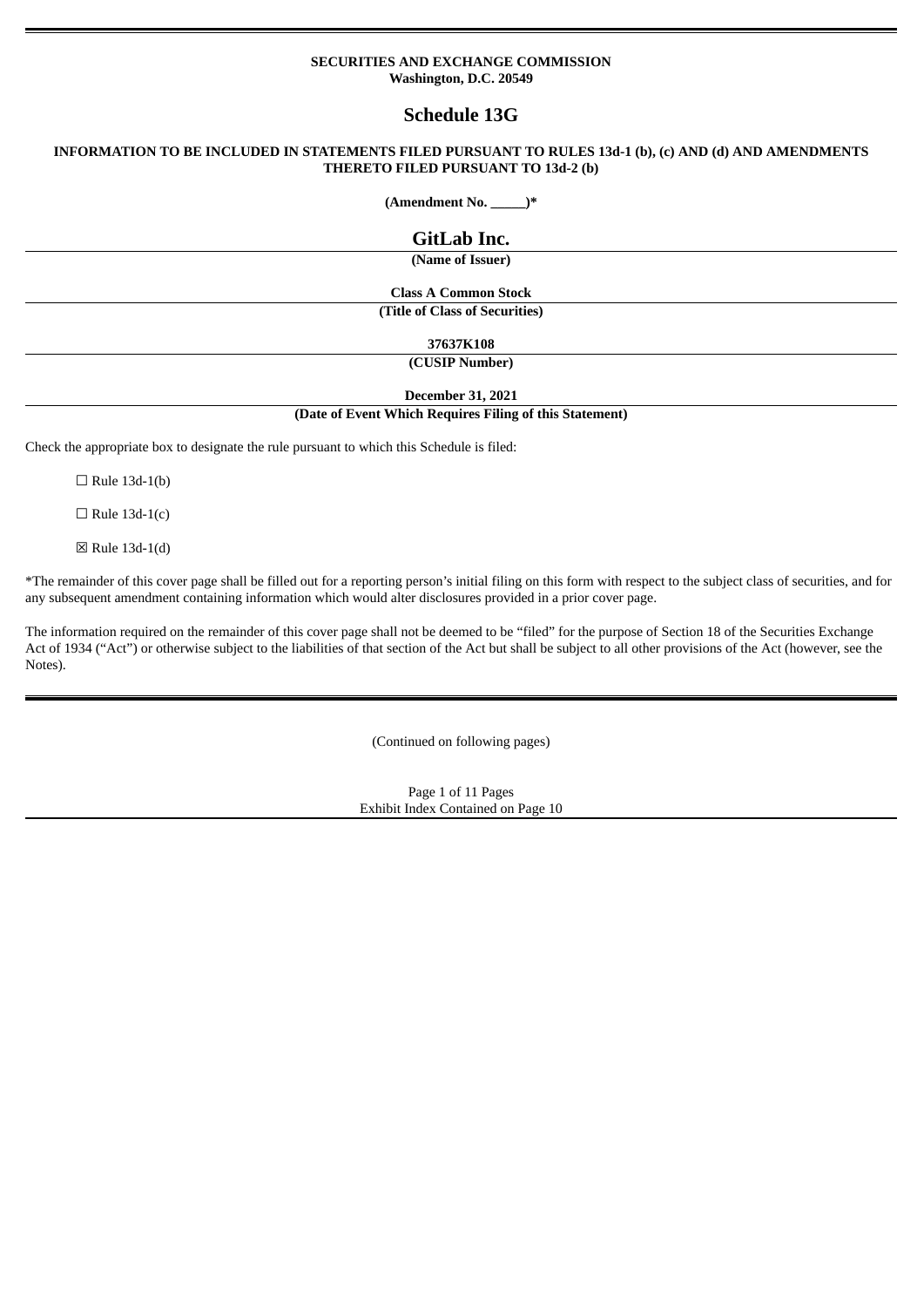#### **SECURITIES AND EXCHANGE COMMISSION Washington, D.C. 20549**

# **Schedule 13G**

### **INFORMATION TO BE INCLUDED IN STATEMENTS FILED PURSUANT TO RULES 13d-1 (b), (c) AND (d) AND AMENDMENTS THERETO FILED PURSUANT TO 13d-2 (b)**

**(Amendment No. \_\_\_\_\_)\***

**GitLab Inc.**

**(Name of Issuer)**

**Class A Common Stock (Title of Class of Securities)**

**37637K108**

**(CUSIP Number)**

**December 31, 2021**

**(Date of Event Which Requires Filing of this Statement)**

Check the appropriate box to designate the rule pursuant to which this Schedule is filed:

 $\Box$  Rule 13d-1(b)

 $\Box$  Rule 13d-1(c)

 $\boxtimes$  Rule 13d-1(d)

\*The remainder of this cover page shall be filled out for a reporting person's initial filing on this form with respect to the subject class of securities, and for any subsequent amendment containing information which would alter disclosures provided in a prior cover page.

The information required on the remainder of this cover page shall not be deemed to be "filed" for the purpose of Section 18 of the Securities Exchange Act of 1934 ("Act") or otherwise subject to the liabilities of that section of the Act but shall be subject to all other provisions of the Act (however, see the Notes).

(Continued on following pages)

Page 1 of 11 Pages Exhibit Index Contained on Page 10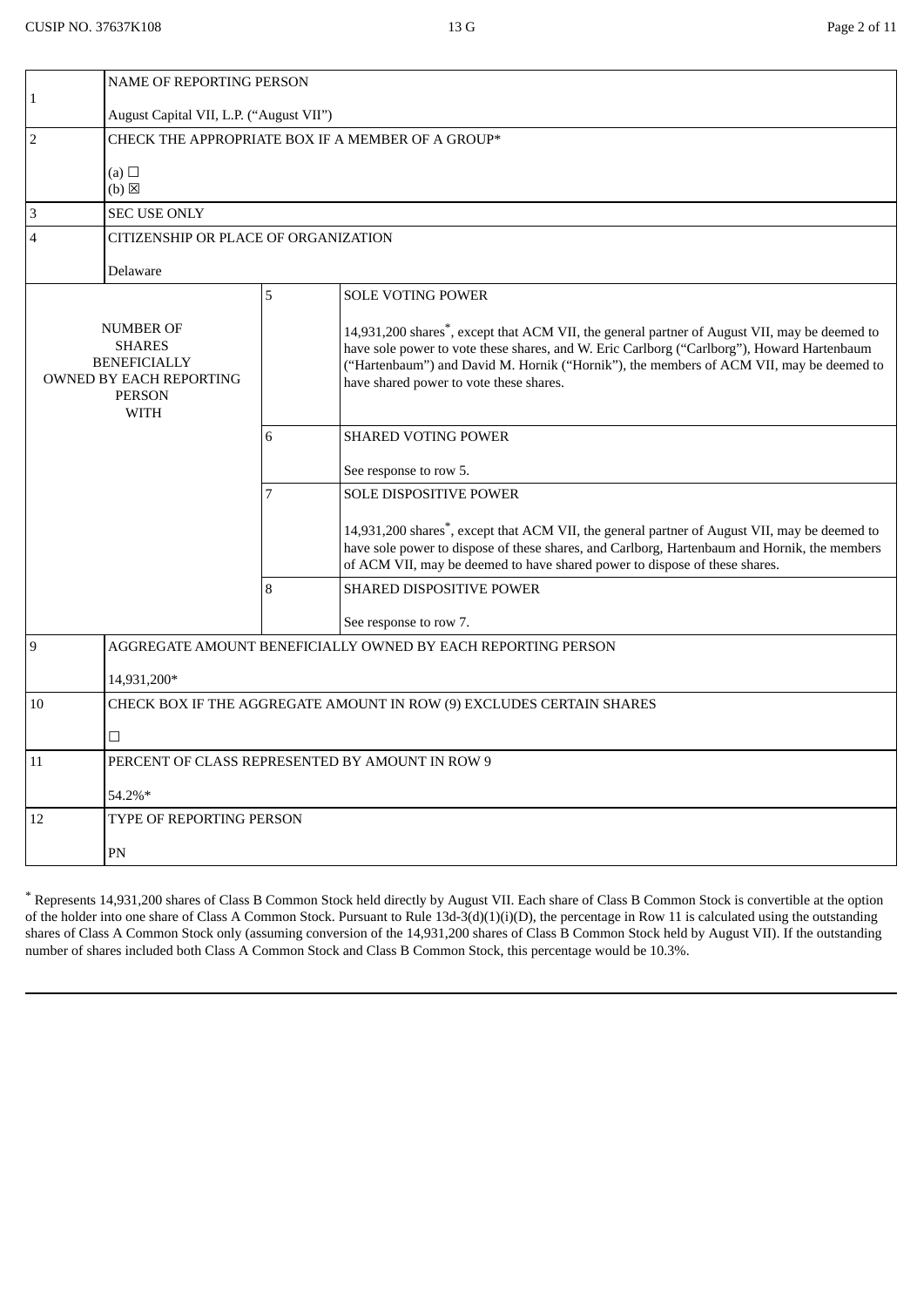| 14,931,200 shares <sup>*</sup> , except that ACM VII, the general partner of August VII, may be deemed to<br>have sole power to vote these shares, and W. Eric Carlborg ("Carlborg"), Howard Hartenbaum<br>("Hartenbaum") and David M. Hornik ("Hornik"), the members of ACM VII, may be deemed to |  |  |  |
|----------------------------------------------------------------------------------------------------------------------------------------------------------------------------------------------------------------------------------------------------------------------------------------------------|--|--|--|
|                                                                                                                                                                                                                                                                                                    |  |  |  |
|                                                                                                                                                                                                                                                                                                    |  |  |  |
|                                                                                                                                                                                                                                                                                                    |  |  |  |
| 14,931,200 shares <sup>*</sup> , except that ACM VII, the general partner of August VII, may be deemed to<br>have sole power to dispose of these shares, and Carlborg, Hartenbaum and Hornik, the members                                                                                          |  |  |  |
|                                                                                                                                                                                                                                                                                                    |  |  |  |
|                                                                                                                                                                                                                                                                                                    |  |  |  |
|                                                                                                                                                                                                                                                                                                    |  |  |  |
|                                                                                                                                                                                                                                                                                                    |  |  |  |
|                                                                                                                                                                                                                                                                                                    |  |  |  |
|                                                                                                                                                                                                                                                                                                    |  |  |  |
|                                                                                                                                                                                                                                                                                                    |  |  |  |
| 54.2%*                                                                                                                                                                                                                                                                                             |  |  |  |
|                                                                                                                                                                                                                                                                                                    |  |  |  |
|                                                                                                                                                                                                                                                                                                    |  |  |  |
|                                                                                                                                                                                                                                                                                                    |  |  |  |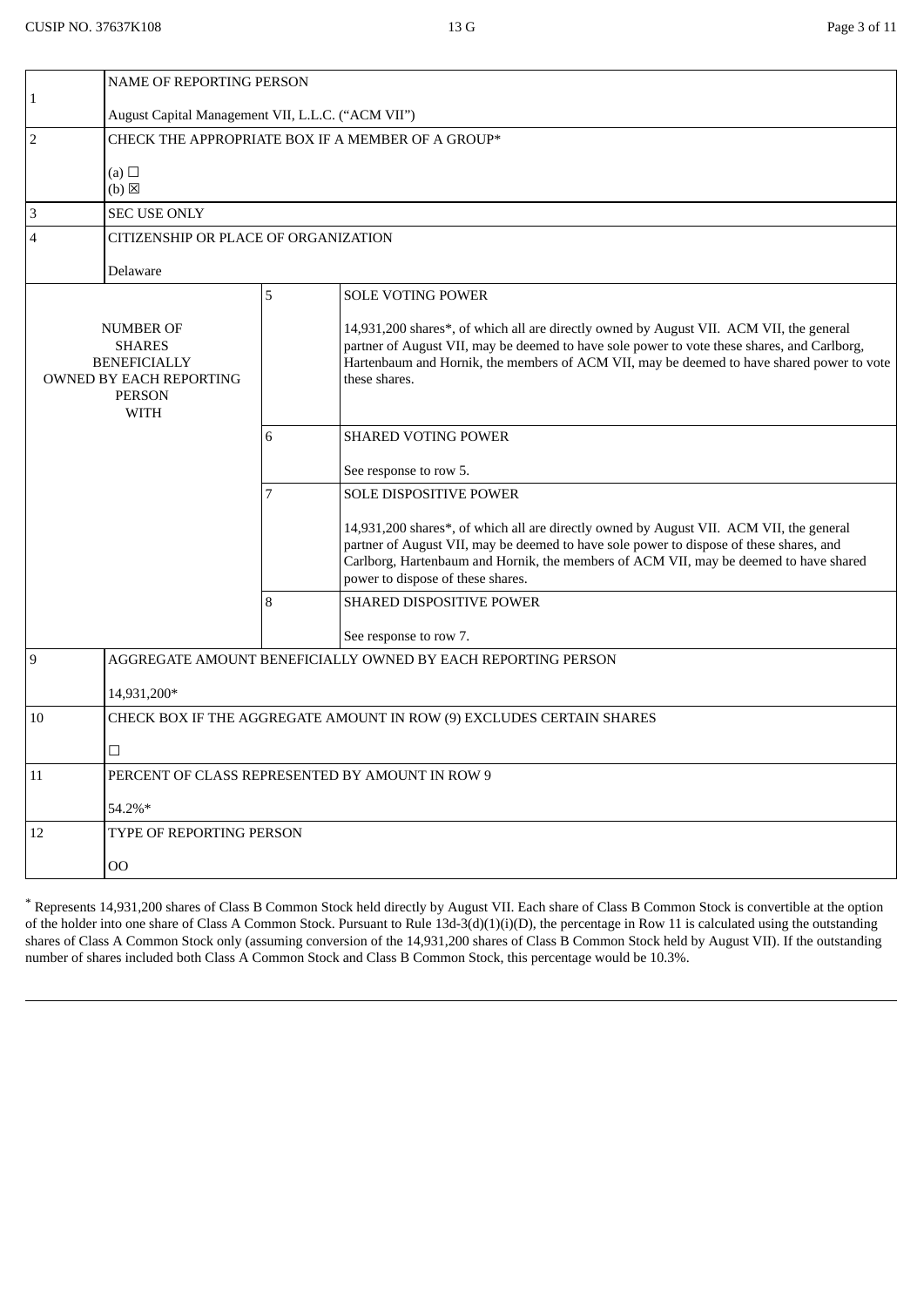|                                                                                                              | NAME OF REPORTING PERSON                                             |   |                                                                                                                                                                                                                                                                                                                  |  |  |
|--------------------------------------------------------------------------------------------------------------|----------------------------------------------------------------------|---|------------------------------------------------------------------------------------------------------------------------------------------------------------------------------------------------------------------------------------------------------------------------------------------------------------------|--|--|
| $\mathbf{1}$                                                                                                 | August Capital Management VII, L.L.C. ("ACM VII")                    |   |                                                                                                                                                                                                                                                                                                                  |  |  |
| $\overline{2}$                                                                                               | CHECK THE APPROPRIATE BOX IF A MEMBER OF A GROUP*                    |   |                                                                                                                                                                                                                                                                                                                  |  |  |
|                                                                                                              | (a) $\Box$<br>$(b)$ $\boxtimes$                                      |   |                                                                                                                                                                                                                                                                                                                  |  |  |
| $\ensuremath{\mathsf{3}}$                                                                                    | <b>SEC USE ONLY</b>                                                  |   |                                                                                                                                                                                                                                                                                                                  |  |  |
| $\overline{4}$                                                                                               | CITIZENSHIP OR PLACE OF ORGANIZATION                                 |   |                                                                                                                                                                                                                                                                                                                  |  |  |
|                                                                                                              | Delaware                                                             |   |                                                                                                                                                                                                                                                                                                                  |  |  |
|                                                                                                              |                                                                      | 5 | <b>SOLE VOTING POWER</b>                                                                                                                                                                                                                                                                                         |  |  |
| NUMBER OF<br><b>SHARES</b><br><b>BENEFICIALLY</b><br>OWNED BY EACH REPORTING<br><b>PERSON</b><br><b>WITH</b> |                                                                      |   | 14,931,200 shares*, of which all are directly owned by August VII. ACM VII, the general<br>partner of August VII, may be deemed to have sole power to vote these shares, and Carlborg,<br>Hartenbaum and Hornik, the members of ACM VII, may be deemed to have shared power to vote<br>these shares.             |  |  |
|                                                                                                              |                                                                      | 6 | <b>SHARED VOTING POWER</b>                                                                                                                                                                                                                                                                                       |  |  |
|                                                                                                              |                                                                      |   | See response to row 5.                                                                                                                                                                                                                                                                                           |  |  |
|                                                                                                              |                                                                      | 7 | SOLE DISPOSITIVE POWER                                                                                                                                                                                                                                                                                           |  |  |
|                                                                                                              |                                                                      |   | 14,931,200 shares*, of which all are directly owned by August VII. ACM VII, the general<br>partner of August VII, may be deemed to have sole power to dispose of these shares, and<br>Carlborg, Hartenbaum and Hornik, the members of ACM VII, may be deemed to have shared<br>power to dispose of these shares. |  |  |
|                                                                                                              |                                                                      | 8 | SHARED DISPOSITIVE POWER                                                                                                                                                                                                                                                                                         |  |  |
|                                                                                                              |                                                                      |   | See response to row 7.                                                                                                                                                                                                                                                                                           |  |  |
| 9                                                                                                            |                                                                      |   | AGGREGATE AMOUNT BENEFICIALLY OWNED BY EACH REPORTING PERSON                                                                                                                                                                                                                                                     |  |  |
|                                                                                                              | 14,931,200*                                                          |   |                                                                                                                                                                                                                                                                                                                  |  |  |
| 10                                                                                                           | CHECK BOX IF THE AGGREGATE AMOUNT IN ROW (9) EXCLUDES CERTAIN SHARES |   |                                                                                                                                                                                                                                                                                                                  |  |  |
|                                                                                                              | $\Box$                                                               |   |                                                                                                                                                                                                                                                                                                                  |  |  |
| 11                                                                                                           | PERCENT OF CLASS REPRESENTED BY AMOUNT IN ROW 9                      |   |                                                                                                                                                                                                                                                                                                                  |  |  |
|                                                                                                              | 54.2%*                                                               |   |                                                                                                                                                                                                                                                                                                                  |  |  |
| 12                                                                                                           | <b>TYPE OF REPORTING PERSON</b>                                      |   |                                                                                                                                                                                                                                                                                                                  |  |  |
|                                                                                                              | $00\,$                                                               |   |                                                                                                                                                                                                                                                                                                                  |  |  |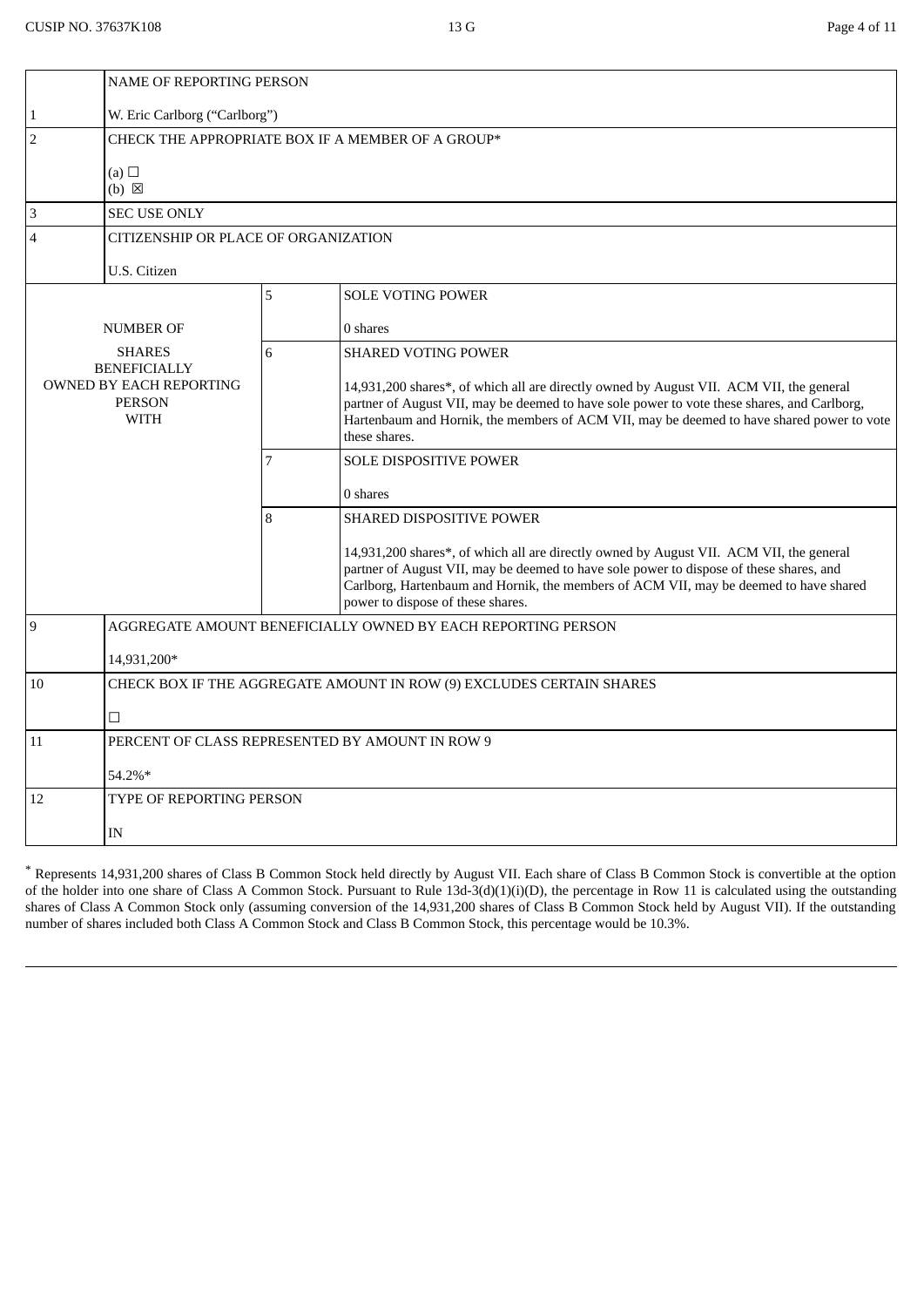|                                                                                | <b>NAME OF REPORTING PERSON</b>                 |                          |                                                                                                                                                                                                                                                                                                                  |  |  |
|--------------------------------------------------------------------------------|-------------------------------------------------|--------------------------|------------------------------------------------------------------------------------------------------------------------------------------------------------------------------------------------------------------------------------------------------------------------------------------------------------------|--|--|
| $\mathbf{1}$                                                                   | W. Eric Carlborg ("Carlborg")                   |                          |                                                                                                                                                                                                                                                                                                                  |  |  |
| $\overline{2}$                                                                 |                                                 |                          | CHECK THE APPROPRIATE BOX IF A MEMBER OF A GROUP*                                                                                                                                                                                                                                                                |  |  |
|                                                                                | (a) $\Box$<br>(b) <b>区</b>                      |                          |                                                                                                                                                                                                                                                                                                                  |  |  |
| 3                                                                              | <b>SEC USE ONLY</b>                             |                          |                                                                                                                                                                                                                                                                                                                  |  |  |
| 4                                                                              | CITIZENSHIP OR PLACE OF ORGANIZATION            |                          |                                                                                                                                                                                                                                                                                                                  |  |  |
|                                                                                | U.S. Citizen                                    |                          |                                                                                                                                                                                                                                                                                                                  |  |  |
|                                                                                |                                                 | 5                        | <b>SOLE VOTING POWER</b>                                                                                                                                                                                                                                                                                         |  |  |
|                                                                                | <b>NUMBER OF</b>                                |                          | 0 shares                                                                                                                                                                                                                                                                                                         |  |  |
|                                                                                | <b>SHARES</b>                                   |                          | <b>SHARED VOTING POWER</b>                                                                                                                                                                                                                                                                                       |  |  |
| <b>BENEFICIALLY</b><br>OWNED BY EACH REPORTING<br><b>PERSON</b><br><b>WITH</b> |                                                 |                          | 14,931,200 shares*, of which all are directly owned by August VII. ACM VII, the general<br>partner of August VII, may be deemed to have sole power to vote these shares, and Carlborg,<br>Hartenbaum and Hornik, the members of ACM VII, may be deemed to have shared power to vote<br>these shares.             |  |  |
|                                                                                |                                                 | 7                        | <b>SOLE DISPOSITIVE POWER</b>                                                                                                                                                                                                                                                                                    |  |  |
|                                                                                |                                                 |                          | 0 shares                                                                                                                                                                                                                                                                                                         |  |  |
|                                                                                |                                                 | 8                        | <b>SHARED DISPOSITIVE POWER</b>                                                                                                                                                                                                                                                                                  |  |  |
|                                                                                |                                                 |                          | 14,931,200 shares*, of which all are directly owned by August VII. ACM VII, the general<br>partner of August VII, may be deemed to have sole power to dispose of these shares, and<br>Carlborg, Hartenbaum and Hornik, the members of ACM VII, may be deemed to have shared<br>power to dispose of these shares. |  |  |
| $\overline{9}$                                                                 |                                                 |                          | AGGREGATE AMOUNT BENEFICIALLY OWNED BY EACH REPORTING PERSON                                                                                                                                                                                                                                                     |  |  |
|                                                                                | 14,931,200*                                     |                          |                                                                                                                                                                                                                                                                                                                  |  |  |
| CHECK BOX IF THE AGGREGATE AMOUNT IN ROW (9) EXCLUDES CERTAIN SHARES<br>10     |                                                 |                          |                                                                                                                                                                                                                                                                                                                  |  |  |
|                                                                                | $\Box$                                          |                          |                                                                                                                                                                                                                                                                                                                  |  |  |
| 11                                                                             | PERCENT OF CLASS REPRESENTED BY AMOUNT IN ROW 9 |                          |                                                                                                                                                                                                                                                                                                                  |  |  |
|                                                                                | 54.2%*                                          |                          |                                                                                                                                                                                                                                                                                                                  |  |  |
| 12                                                                             |                                                 | TYPE OF REPORTING PERSON |                                                                                                                                                                                                                                                                                                                  |  |  |
|                                                                                | IN                                              |                          |                                                                                                                                                                                                                                                                                                                  |  |  |
|                                                                                |                                                 |                          |                                                                                                                                                                                                                                                                                                                  |  |  |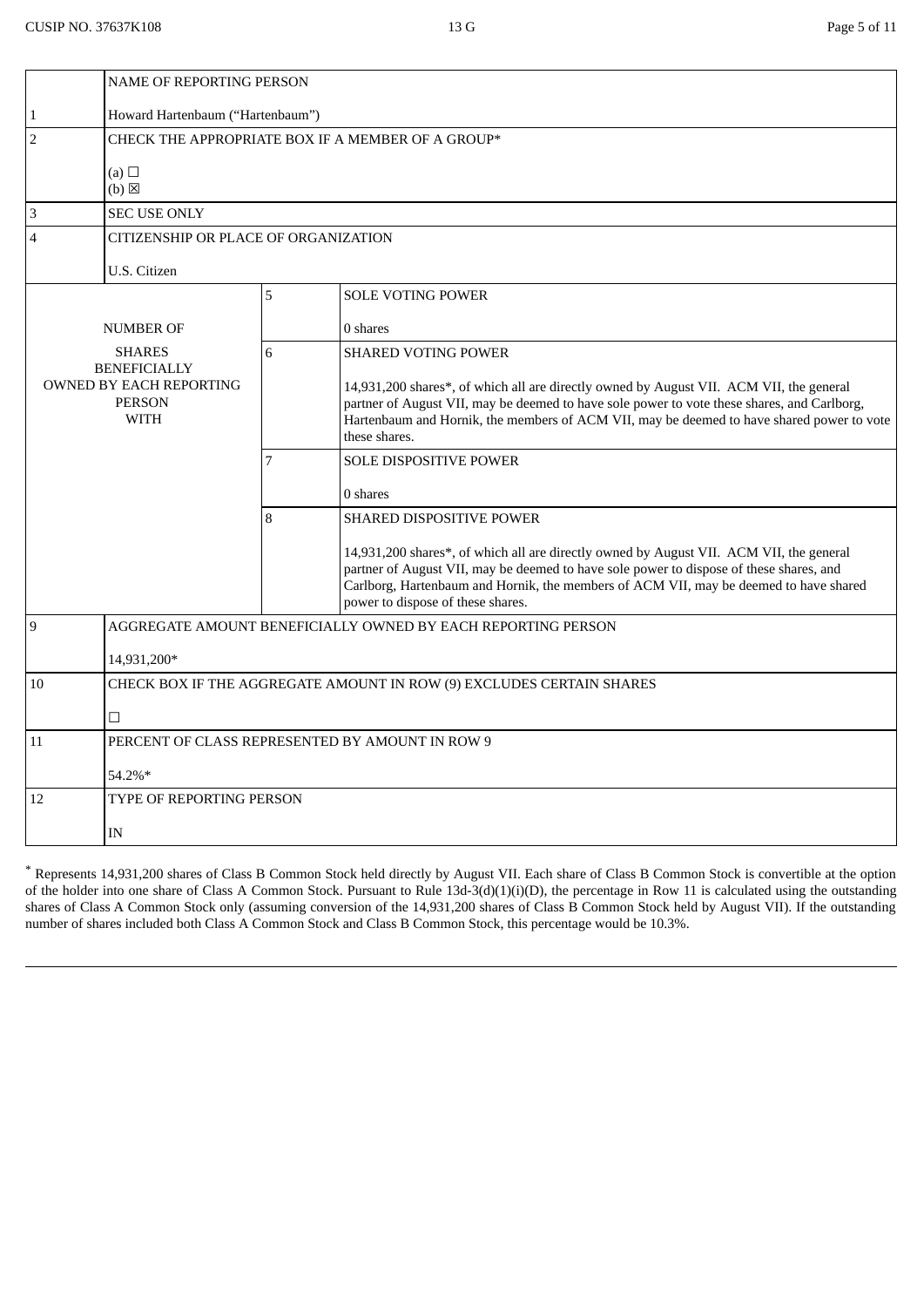|                                                                                | <b>NAME OF REPORTING PERSON</b>                 |                                                   |                                                                                                                                                                                                                                                                                                                  |  |  |
|--------------------------------------------------------------------------------|-------------------------------------------------|---------------------------------------------------|------------------------------------------------------------------------------------------------------------------------------------------------------------------------------------------------------------------------------------------------------------------------------------------------------------------|--|--|
| $\mathbf{1}$                                                                   | Howard Hartenbaum ("Hartenbaum")                |                                                   |                                                                                                                                                                                                                                                                                                                  |  |  |
| $\overline{2}$                                                                 |                                                 | CHECK THE APPROPRIATE BOX IF A MEMBER OF A GROUP* |                                                                                                                                                                                                                                                                                                                  |  |  |
|                                                                                | (a) $\Box$<br>$(b)$ $\boxtimes$                 |                                                   |                                                                                                                                                                                                                                                                                                                  |  |  |
| 3                                                                              | <b>SEC USE ONLY</b>                             |                                                   |                                                                                                                                                                                                                                                                                                                  |  |  |
| 4                                                                              | CITIZENSHIP OR PLACE OF ORGANIZATION            |                                                   |                                                                                                                                                                                                                                                                                                                  |  |  |
|                                                                                | U.S. Citizen                                    |                                                   |                                                                                                                                                                                                                                                                                                                  |  |  |
|                                                                                |                                                 | 5                                                 | <b>SOLE VOTING POWER</b>                                                                                                                                                                                                                                                                                         |  |  |
|                                                                                | <b>NUMBER OF</b>                                |                                                   | 0 shares                                                                                                                                                                                                                                                                                                         |  |  |
| <b>SHARES</b>                                                                  |                                                 | 6                                                 | <b>SHARED VOTING POWER</b>                                                                                                                                                                                                                                                                                       |  |  |
| <b>BENEFICIALLY</b><br>OWNED BY EACH REPORTING<br><b>PERSON</b><br><b>WITH</b> |                                                 |                                                   | 14,931,200 shares*, of which all are directly owned by August VII. ACM VII, the general<br>partner of August VII, may be deemed to have sole power to vote these shares, and Carlborg,<br>Hartenbaum and Hornik, the members of ACM VII, may be deemed to have shared power to vote<br>these shares.             |  |  |
|                                                                                |                                                 | 7                                                 | <b>SOLE DISPOSITIVE POWER</b>                                                                                                                                                                                                                                                                                    |  |  |
|                                                                                |                                                 |                                                   | 0 shares                                                                                                                                                                                                                                                                                                         |  |  |
|                                                                                |                                                 | 8                                                 | SHARED DISPOSITIVE POWER                                                                                                                                                                                                                                                                                         |  |  |
|                                                                                |                                                 |                                                   | 14,931,200 shares*, of which all are directly owned by August VII. ACM VII, the general<br>partner of August VII, may be deemed to have sole power to dispose of these shares, and<br>Carlborg, Hartenbaum and Hornik, the members of ACM VII, may be deemed to have shared<br>power to dispose of these shares. |  |  |
| 9<br>AGGREGATE AMOUNT BENEFICIALLY OWNED BY EACH REPORTING PERSON              |                                                 |                                                   |                                                                                                                                                                                                                                                                                                                  |  |  |
|                                                                                | 14,931,200*                                     |                                                   |                                                                                                                                                                                                                                                                                                                  |  |  |
| CHECK BOX IF THE AGGREGATE AMOUNT IN ROW (9) EXCLUDES CERTAIN SHARES<br>10     |                                                 |                                                   |                                                                                                                                                                                                                                                                                                                  |  |  |
|                                                                                | $\Box$                                          |                                                   |                                                                                                                                                                                                                                                                                                                  |  |  |
| 11                                                                             | PERCENT OF CLASS REPRESENTED BY AMOUNT IN ROW 9 |                                                   |                                                                                                                                                                                                                                                                                                                  |  |  |
|                                                                                | 54.2%*                                          |                                                   |                                                                                                                                                                                                                                                                                                                  |  |  |
| 12                                                                             | TYPE OF REPORTING PERSON                        |                                                   |                                                                                                                                                                                                                                                                                                                  |  |  |
|                                                                                | IN                                              |                                                   |                                                                                                                                                                                                                                                                                                                  |  |  |
|                                                                                |                                                 |                                                   |                                                                                                                                                                                                                                                                                                                  |  |  |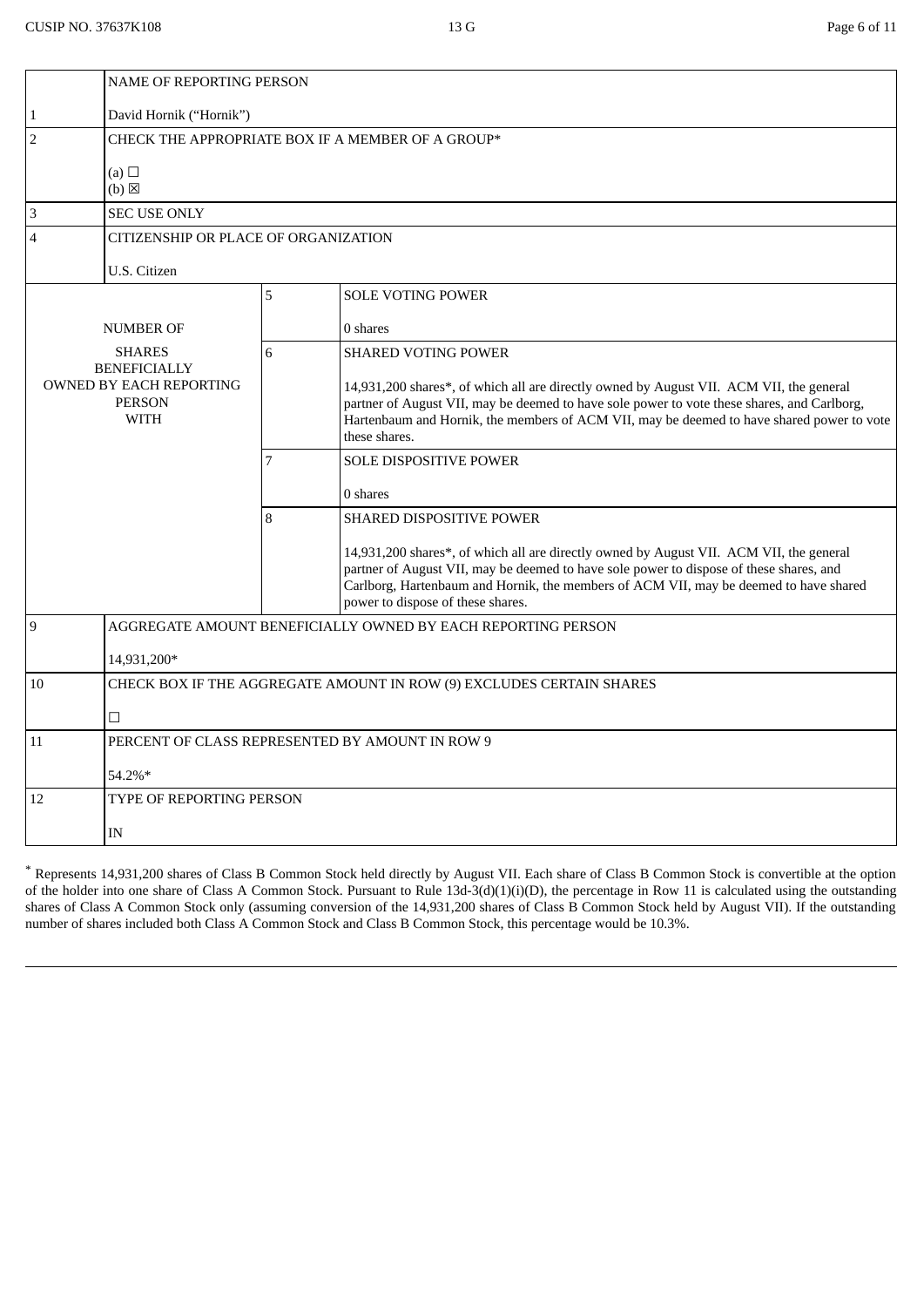|                                                                                | <b>NAME OF REPORTING PERSON</b>                   |   |                                                                                                                                                                                                                                                                                                                  |  |
|--------------------------------------------------------------------------------|---------------------------------------------------|---|------------------------------------------------------------------------------------------------------------------------------------------------------------------------------------------------------------------------------------------------------------------------------------------------------------------|--|
| $\mathbf{1}$                                                                   | David Hornik ("Hornik")                           |   |                                                                                                                                                                                                                                                                                                                  |  |
| $\overline{2}$                                                                 | CHECK THE APPROPRIATE BOX IF A MEMBER OF A GROUP* |   |                                                                                                                                                                                                                                                                                                                  |  |
|                                                                                | (a) $\Box$<br>$(b)$ $\boxtimes$                   |   |                                                                                                                                                                                                                                                                                                                  |  |
| 3                                                                              | <b>SEC USE ONLY</b>                               |   |                                                                                                                                                                                                                                                                                                                  |  |
| CITIZENSHIP OR PLACE OF ORGANIZATION<br>4                                      |                                                   |   |                                                                                                                                                                                                                                                                                                                  |  |
|                                                                                | U.S. Citizen                                      |   |                                                                                                                                                                                                                                                                                                                  |  |
|                                                                                |                                                   | 5 | <b>SOLE VOTING POWER</b>                                                                                                                                                                                                                                                                                         |  |
|                                                                                | <b>NUMBER OF</b>                                  |   | 0 shares                                                                                                                                                                                                                                                                                                         |  |
|                                                                                | <b>SHARES</b>                                     | 6 | <b>SHARED VOTING POWER</b>                                                                                                                                                                                                                                                                                       |  |
| <b>BENEFICIALLY</b><br>OWNED BY EACH REPORTING<br><b>PERSON</b><br><b>WITH</b> |                                                   |   | 14,931,200 shares*, of which all are directly owned by August VII. ACM VII, the general<br>partner of August VII, may be deemed to have sole power to vote these shares, and Carlborg,<br>Hartenbaum and Hornik, the members of ACM VII, may be deemed to have shared power to vote<br>these shares.             |  |
|                                                                                |                                                   | 7 | SOLE DISPOSITIVE POWER                                                                                                                                                                                                                                                                                           |  |
|                                                                                |                                                   |   | 0 shares                                                                                                                                                                                                                                                                                                         |  |
|                                                                                |                                                   | 8 | SHARED DISPOSITIVE POWER                                                                                                                                                                                                                                                                                         |  |
|                                                                                |                                                   |   | 14,931,200 shares*, of which all are directly owned by August VII. ACM VII, the general<br>partner of August VII, may be deemed to have sole power to dispose of these shares, and<br>Carlborg, Hartenbaum and Hornik, the members of ACM VII, may be deemed to have shared<br>power to dispose of these shares. |  |
| 9<br>AGGREGATE AMOUNT BENEFICIALLY OWNED BY EACH REPORTING PERSON              |                                                   |   |                                                                                                                                                                                                                                                                                                                  |  |
|                                                                                | 14,931,200*                                       |   |                                                                                                                                                                                                                                                                                                                  |  |
| CHECK BOX IF THE AGGREGATE AMOUNT IN ROW (9) EXCLUDES CERTAIN SHARES<br>10     |                                                   |   |                                                                                                                                                                                                                                                                                                                  |  |
|                                                                                | $\Box$                                            |   |                                                                                                                                                                                                                                                                                                                  |  |
| 11                                                                             | PERCENT OF CLASS REPRESENTED BY AMOUNT IN ROW 9   |   |                                                                                                                                                                                                                                                                                                                  |  |
|                                                                                | 54.2%*                                            |   |                                                                                                                                                                                                                                                                                                                  |  |
| 12                                                                             | TYPE OF REPORTING PERSON                          |   |                                                                                                                                                                                                                                                                                                                  |  |
|                                                                                | IN                                                |   |                                                                                                                                                                                                                                                                                                                  |  |
|                                                                                |                                                   |   |                                                                                                                                                                                                                                                                                                                  |  |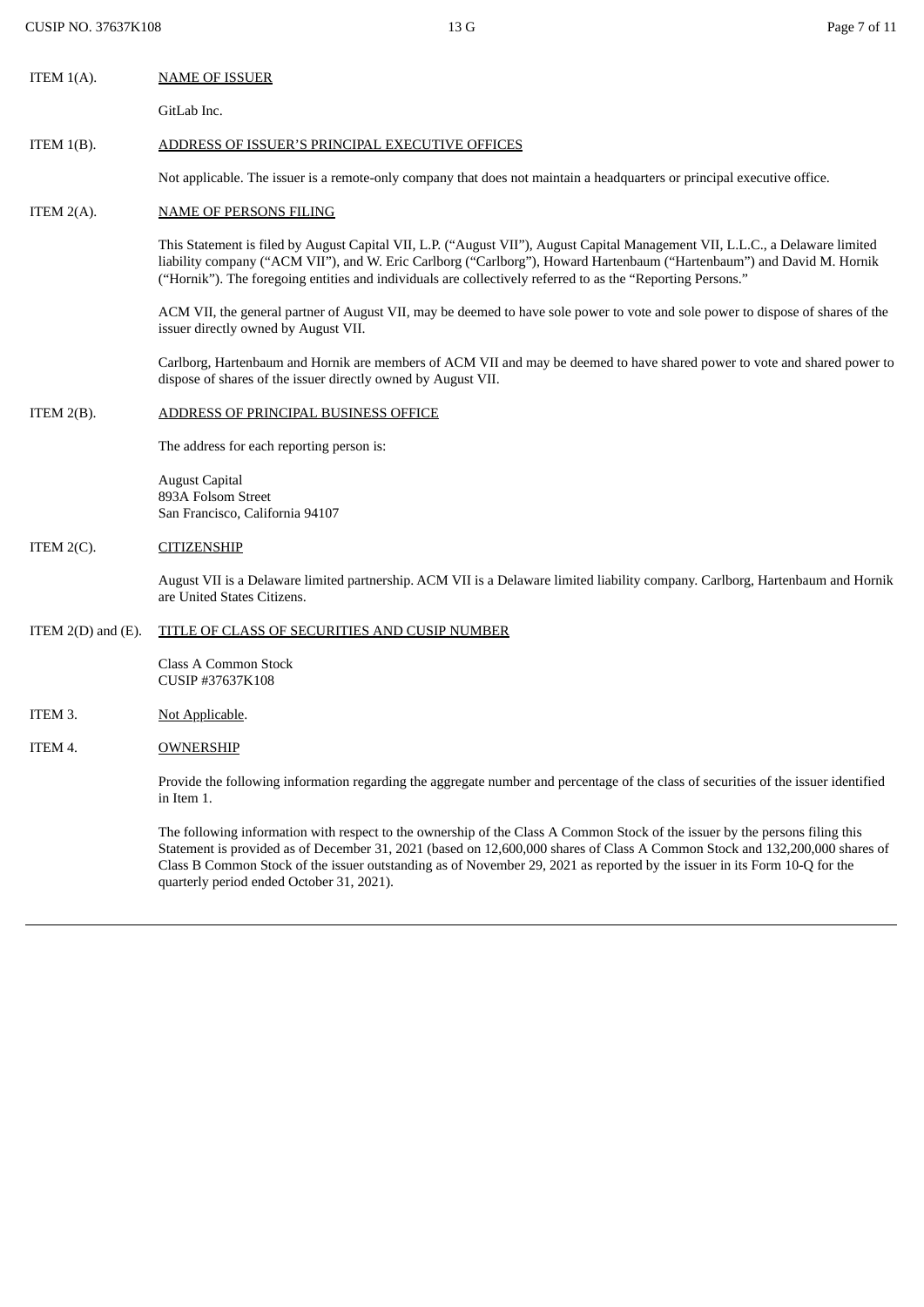| ITEM 1(A). | <b>NAME OF ISSUER</b> |
|------------|-----------------------|
|            |                       |

GitLab Inc.

## ITEM 1(B). ADDRESS OF ISSUER'S PRINCIPAL EXECUTIVE OFFICES

Not applicable. The issuer is a remote-only company that does not maintain a headquarters or principal executive office.

## ITEM 2(A). NAME OF PERSONS FILING

This Statement is filed by August Capital VII, L.P. ("August VII"), August Capital Management VII, L.L.C., a Delaware limited liability company ("ACM VII"), and W. Eric Carlborg ("Carlborg"), Howard Hartenbaum ("Hartenbaum") and David M. Hornik ("Hornik"). The foregoing entities and individuals are collectively referred to as the "Reporting Persons."

ACM VII, the general partner of August VII, may be deemed to have sole power to vote and sole power to dispose of shares of the issuer directly owned by August VII.

Carlborg, Hartenbaum and Hornik are members of ACM VII and may be deemed to have shared power to vote and shared power to dispose of shares of the issuer directly owned by August VII.

#### ITEM 2(B). ADDRESS OF PRINCIPAL BUSINESS OFFICE

The address for each reporting person is:

August Capital 893A Folsom Street San Francisco, California 94107

#### ITEM 2(C). CITIZENSHIP

August VII is a Delaware limited partnership. ACM VII is a Delaware limited liability company. Carlborg, Hartenbaum and Hornik are United States Citizens.

#### ITEM 2(D) and (E). TITLE OF CLASS OF SECURITIES AND CUSIP NUMBER

Class A Common Stock CUSIP #37637K108

### ITEM 3. Not Applicable.

ITEM 4. OWNERSHIP

Provide the following information regarding the aggregate number and percentage of the class of securities of the issuer identified in Item 1.

The following information with respect to the ownership of the Class A Common Stock of the issuer by the persons filing this Statement is provided as of December 31, 2021 (based on 12,600,000 shares of Class A Common Stock and 132,200,000 shares of Class B Common Stock of the issuer outstanding as of November 29, 2021 as reported by the issuer in its Form 10-Q for the quarterly period ended October 31, 2021).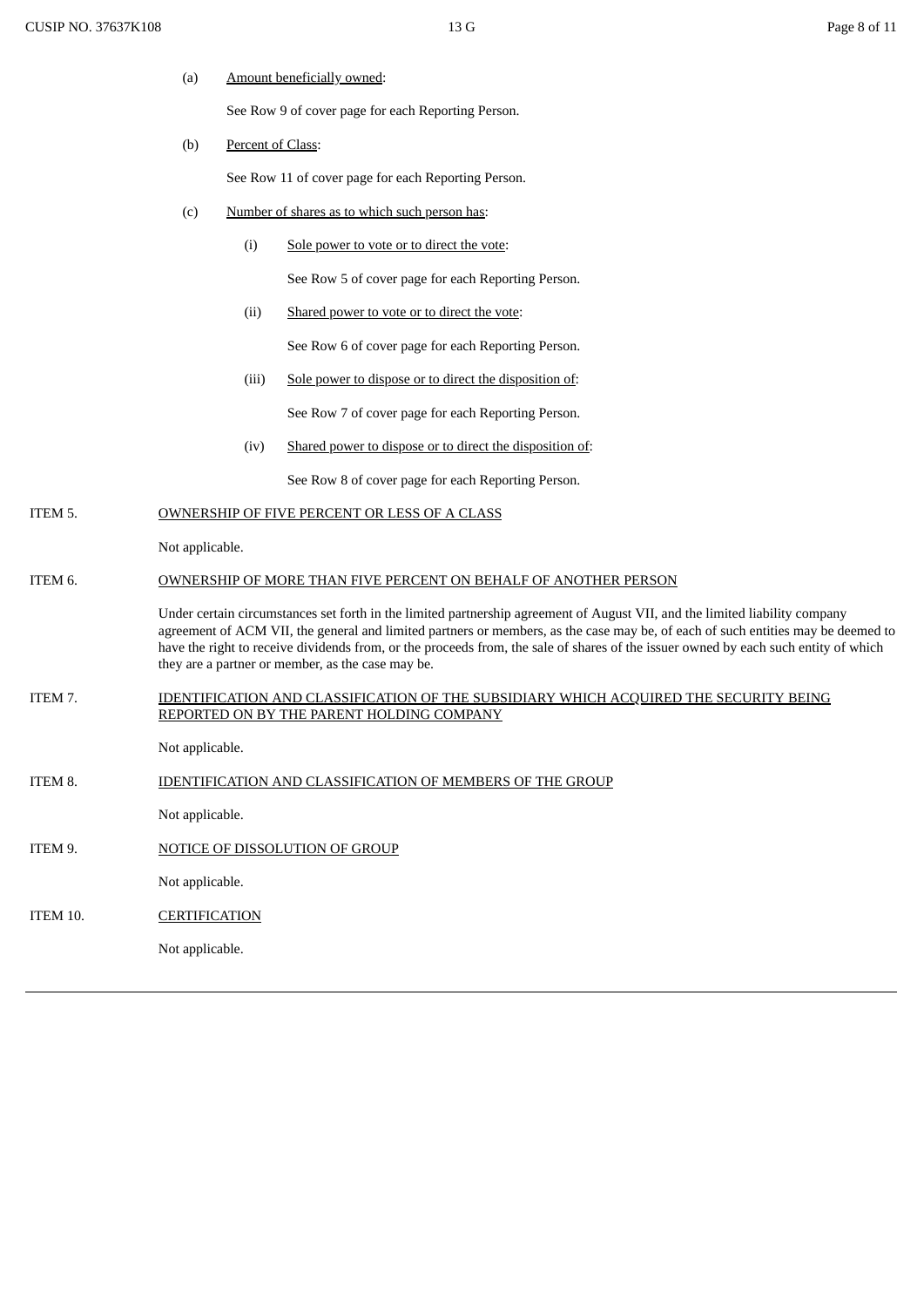(a) Amount beneficially owned:

See Row 9 of cover page for each Reporting Person.

(b) Percent of Class:

See Row 11 of cover page for each Reporting Person.

- (c) Number of shares as to which such person has:
	- (i) Sole power to vote or to direct the vote:

See Row 5 of cover page for each Reporting Person.

(ii) Shared power to vote or to direct the vote:

See Row 6 of cover page for each Reporting Person.

(iii) Sole power to dispose or to direct the disposition of:

See Row 7 of cover page for each Reporting Person.

(iv) Shared power to dispose or to direct the disposition of:

See Row 8 of cover page for each Reporting Person.

ITEM 5. OWNERSHIP OF FIVE PERCENT OR LESS OF A CLASS

Not applicable.

# ITEM 6. OWNERSHIP OF MORE THAN FIVE PERCENT ON BEHALF OF ANOTHER PERSON

Under certain circumstances set forth in the limited partnership agreement of August VII, and the limited liability company agreement of ACM VII, the general and limited partners or members, as the case may be, of each of such entities may be deemed to have the right to receive dividends from, or the proceeds from, the sale of shares of the issuer owned by each such entity of which they are a partner or member, as the case may be.

ITEM 7. IDENTIFICATION AND CLASSIFICATION OF THE SUBSIDIARY WHICH ACQUIRED THE SECURITY BEING REPORTED ON BY THE PARENT HOLDING COMPANY

Not applicable.

ITEM 8. **IDENTIFICATION AND CLASSIFICATION OF MEMBERS OF THE GROUP** 

Not applicable.

ITEM 9. NOTICE OF DISSOLUTION OF GROUP

Not applicable.

```
ITEM 10. CERTIFICATION
```
Not applicable.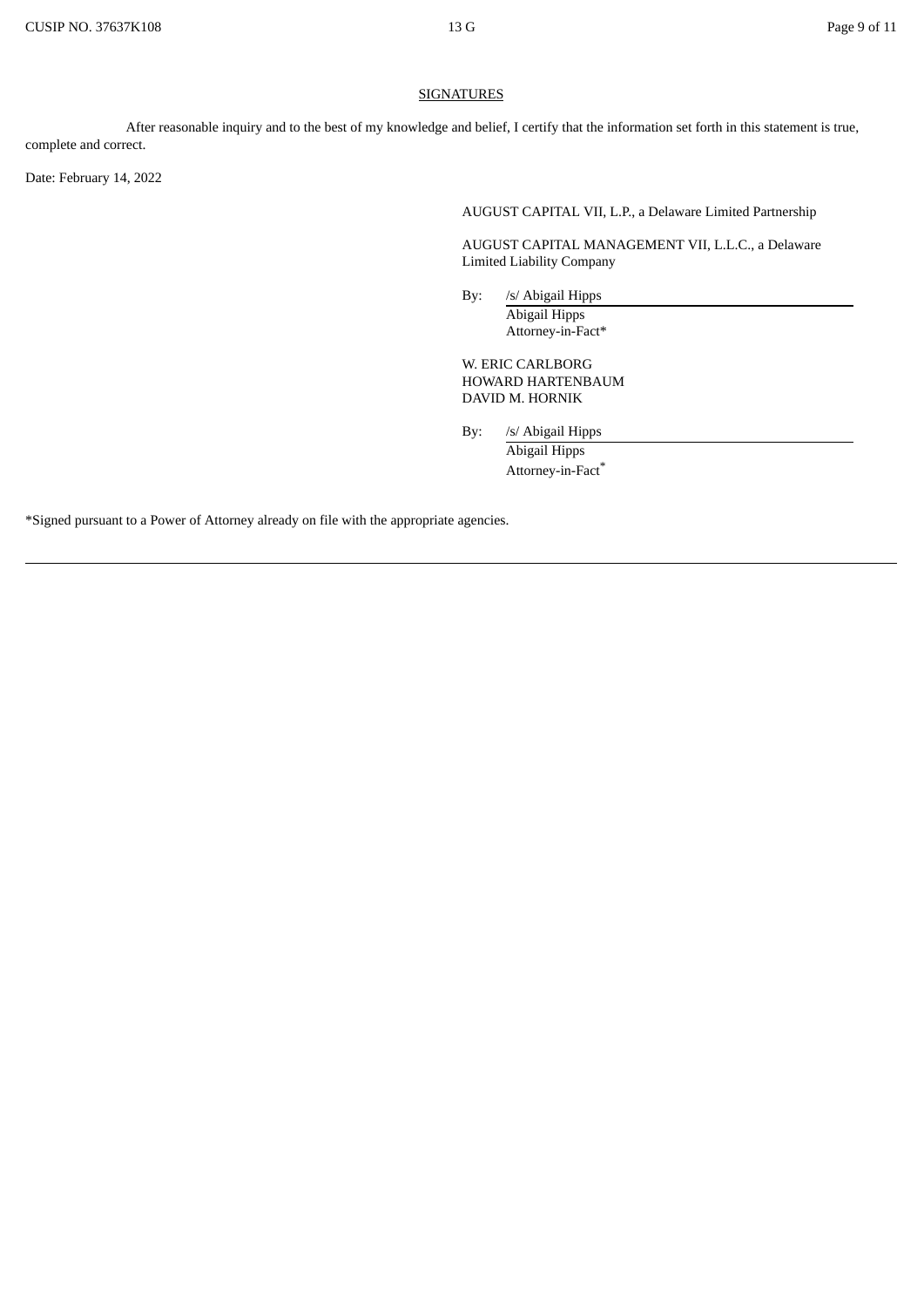## **SIGNATURES**

After reasonable inquiry and to the best of my knowledge and belief, I certify that the information set forth in this statement is true, complete and correct.

Date: February 14, 2022

AUGUST CAPITAL VII, L.P., a Delaware Limited Partnership

AUGUST CAPITAL MANAGEMENT VII, L.L.C., a Delaware Limited Liability Company

By: /s/ Abigail Hipps Abigail Hipps Attorney-in-Fact\*

W. ERIC CARLBORG HOWARD HARTENBAUM DAVID M. HORNIK

By: /s/ Abigail Hipps

Abigail Hipps Attorney-in-Fact \*

\*Signed pursuant to a Power of Attorney already on file with the appropriate agencies.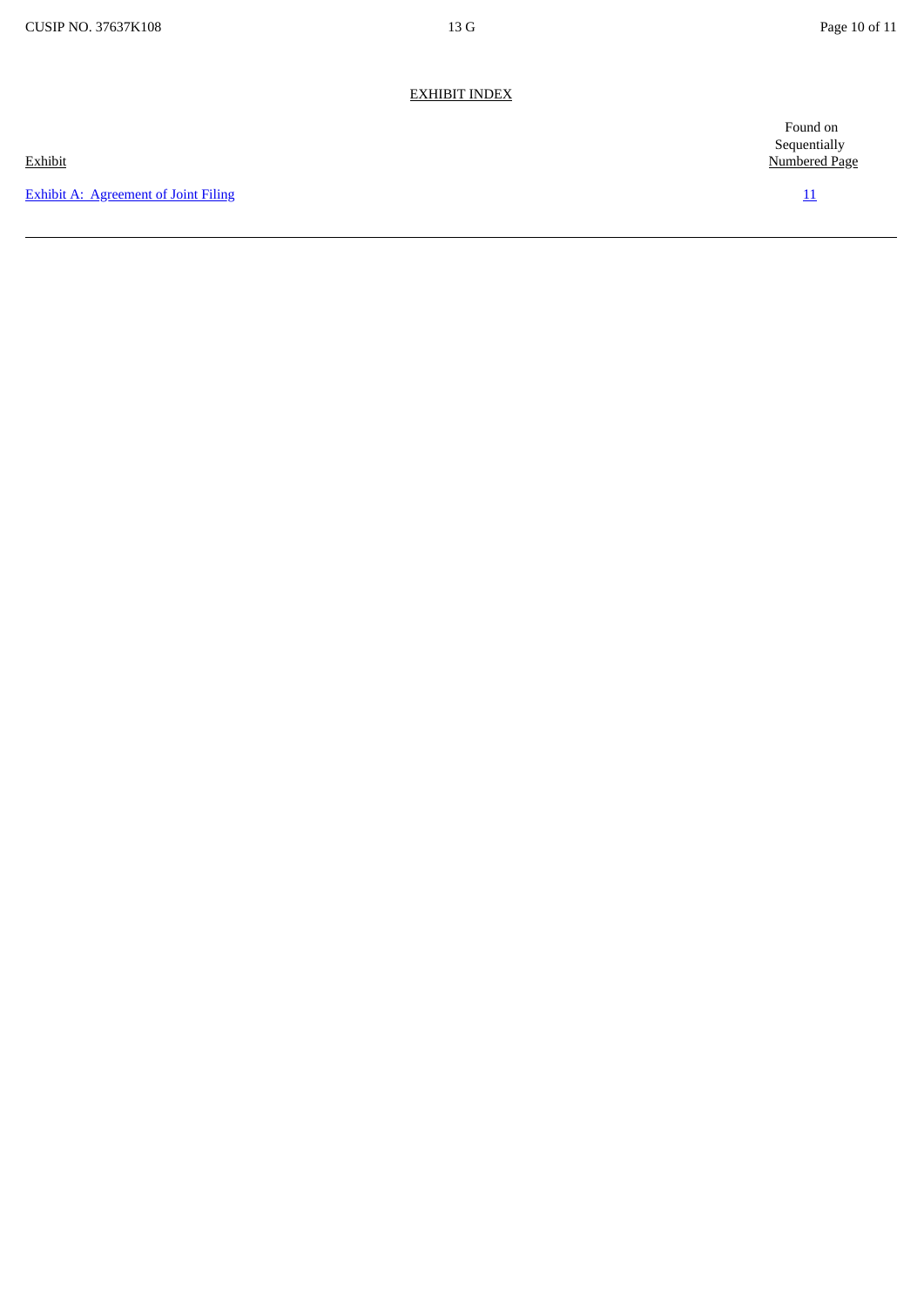# EXHIBIT INDEX

**Exhibit A: [Agreement](#page-10-0) of Joint Filing [11](#page-10-0) 11** 

Found on **Sequentially** Exhibit Numbered Page